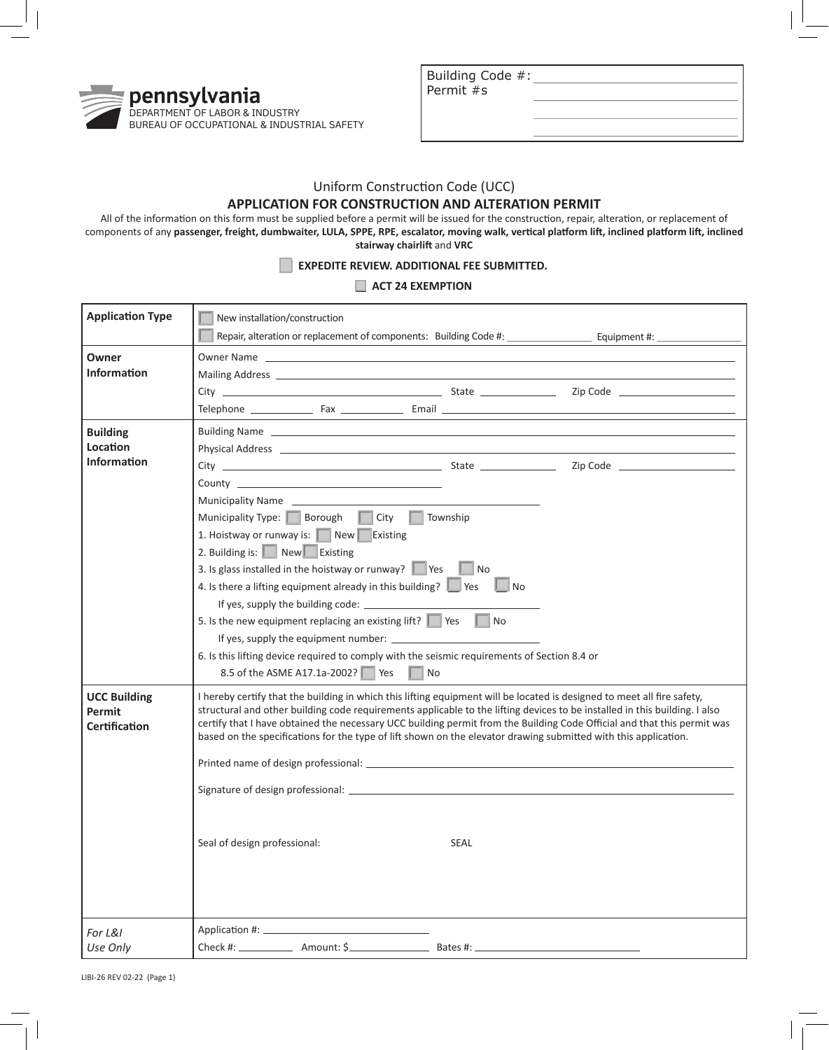

| Building Code #: |  |
|------------------|--|
| Permit #s        |  |
|                  |  |
|                  |  |

## Uniform Construction Code (UCC) **APPLICATION FOR CONSTRUCTION AND ALTERATION PERMIT**

All of the information on this form must be supplied before a permit will be issued for the construction, repair, alteration, or replacement of components of any **passenger, freight, dumbwaiter, LULA, SPPE, RPE, escalator, moving walk, vertical platform lift, inclined platform lift, inclined stairway chairlift** and **VRC** 

## **EXPEDITE REVIEW. ADDITIONAL FEE SUBMITTED.**

## **ACT 24 EXEMPTION**

| <b>Application Type</b>        | New installation/construction                                                                                                                                                                                                                         |
|--------------------------------|-------------------------------------------------------------------------------------------------------------------------------------------------------------------------------------------------------------------------------------------------------|
|                                |                                                                                                                                                                                                                                                       |
| Owner                          |                                                                                                                                                                                                                                                       |
| Information                    |                                                                                                                                                                                                                                                       |
|                                |                                                                                                                                                                                                                                                       |
|                                |                                                                                                                                                                                                                                                       |
| <b>Building</b>                |                                                                                                                                                                                                                                                       |
| Location                       |                                                                                                                                                                                                                                                       |
| <b>Information</b>             |                                                                                                                                                                                                                                                       |
|                                |                                                                                                                                                                                                                                                       |
|                                |                                                                                                                                                                                                                                                       |
|                                | Municipality Type: Sorough City<br>Township                                                                                                                                                                                                           |
|                                | 1. Hoistway or runway is:   New   Existing                                                                                                                                                                                                            |
|                                | 2. Building is: $\Box$ New Existing                                                                                                                                                                                                                   |
|                                | 3. Is glass installed in the hoistway or runway? $\Box$ Yes $\Box$ No                                                                                                                                                                                 |
|                                | 4. Is there a lifting equipment already in this building? $\Box$ Yes $\Box$ No                                                                                                                                                                        |
|                                |                                                                                                                                                                                                                                                       |
|                                | 5. Is the new equipment replacing an existing lift? $\Box$ Yes $\Box$ No                                                                                                                                                                              |
|                                |                                                                                                                                                                                                                                                       |
|                                | 6. Is this lifting device required to comply with the seismic requirements of Section 8.4 or                                                                                                                                                          |
|                                | 8.5 of the ASME A17.1a-2002? Ves No                                                                                                                                                                                                                   |
| <b>UCC Building</b>            | I hereby certify that the building in which this lifting equipment will be located is designed to meet all fire safety,                                                                                                                               |
| Permit<br><b>Certification</b> | structural and other building code requirements applicable to the lifting devices to be installed in this building. I also<br>certify that I have obtained the necessary UCC building permit from the Building Code Official and that this permit was |
|                                | based on the specifications for the type of lift shown on the elevator drawing submitted with this application.                                                                                                                                       |
|                                |                                                                                                                                                                                                                                                       |
|                                |                                                                                                                                                                                                                                                       |
|                                |                                                                                                                                                                                                                                                       |
|                                |                                                                                                                                                                                                                                                       |
|                                |                                                                                                                                                                                                                                                       |
|                                | Seal of design professional:<br>SEAL                                                                                                                                                                                                                  |
|                                |                                                                                                                                                                                                                                                       |
|                                |                                                                                                                                                                                                                                                       |
|                                |                                                                                                                                                                                                                                                       |
|                                |                                                                                                                                                                                                                                                       |
| For L&I                        |                                                                                                                                                                                                                                                       |
| Use Only                       | Check #: $\_\_\_\_\_\_\$ Amount: $\zeta$<br>Bates #:                                                                                                                                                                                                  |

LIBI-26 REV 02-22 (Page 1)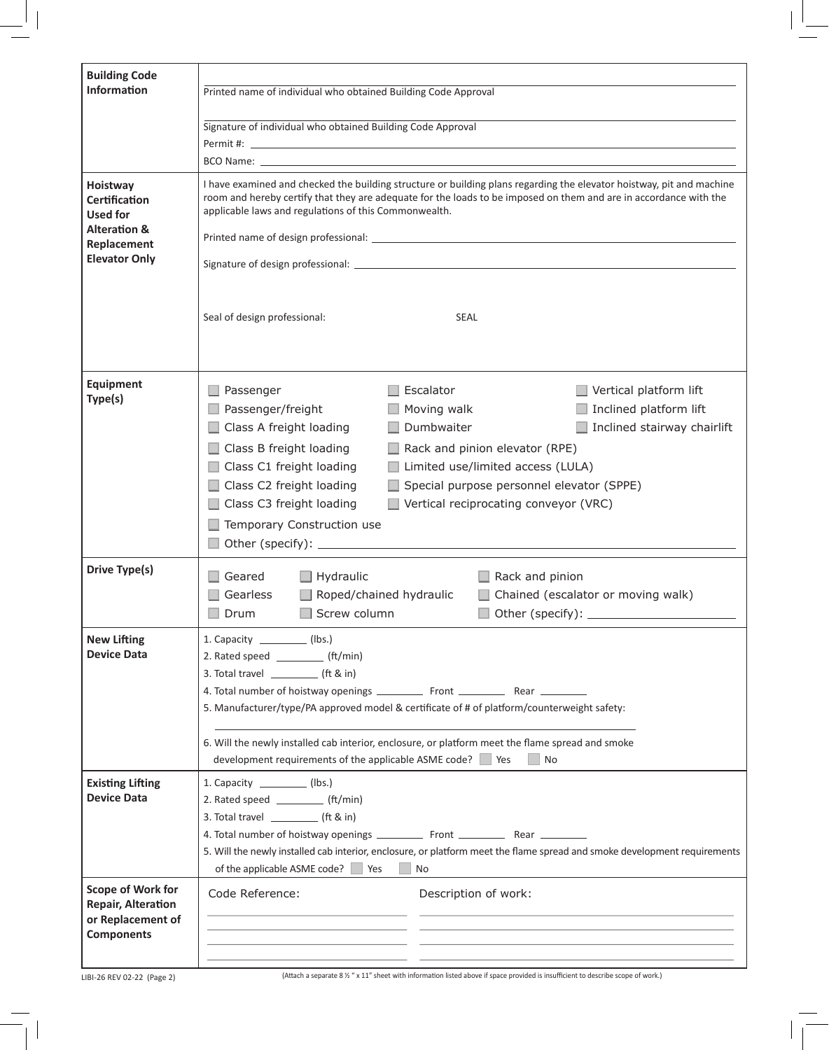| <b>Building Code</b><br>Information                                                                                   | Printed name of individual who obtained Building Code Approval                                                                                                                                                                                                                                                                                                                                                                                                                                   |
|-----------------------------------------------------------------------------------------------------------------------|--------------------------------------------------------------------------------------------------------------------------------------------------------------------------------------------------------------------------------------------------------------------------------------------------------------------------------------------------------------------------------------------------------------------------------------------------------------------------------------------------|
|                                                                                                                       | Signature of individual who obtained Building Code Approval                                                                                                                                                                                                                                                                                                                                                                                                                                      |
| Hoistway<br><b>Certification</b><br><b>Used for</b><br><b>Alteration &amp;</b><br>Replacement<br><b>Elevator Only</b> | I have examined and checked the building structure or building plans regarding the elevator hoistway, pit and machine<br>room and hereby certify that they are adequate for the loads to be imposed on them and are in accordance with the<br>applicable laws and regulations of this Commonwealth.                                                                                                                                                                                              |
|                                                                                                                       | Seal of design professional:<br><b>SEAL</b>                                                                                                                                                                                                                                                                                                                                                                                                                                                      |
| <b>Equipment</b><br>Type(s)                                                                                           | Vertical platform lift<br>Passenger<br>Escalator<br>Passenger/freight<br>Moving walk<br>Inclined platform lift<br>Class A freight loading<br>Dumbwaiter<br>Inclined stairway chairlift<br>Class B freight loading<br>Rack and pinion elevator (RPE)<br>Class C1 freight loading<br>Limited use/limited access (LULA)<br>Special purpose personnel elevator (SPPE)<br>Class C2 freight loading<br>Class C3 freight loading<br>Vertical reciprocating conveyor (VRC)<br>Temporary Construction use |
| <b>Drive Type(s)</b>                                                                                                  | Geared<br>$\Box$ Hydraulic<br>$\Box$ Rack and pinion<br>Gearless<br>$\Box$ Roped/chained hydraulic<br>$\Box$ Chained (escalator or moving walk)<br>Drum<br>Screw column                                                                                                                                                                                                                                                                                                                          |
| <b>New Lifting</b><br><b>Device Data</b>                                                                              | 1. Capacity ____________ (lbs.)<br>2. Rated speed ____________ (ft/min)<br>3. Total travel ____________ (ft & in)<br>5. Manufacturer/type/PA approved model & certificate of # of platform/counterweight safety:<br>6. Will the newly installed cab interior, enclosure, or platform meet the flame spread and smoke<br>development requirements of the applicable ASME code? Yes<br>  No                                                                                                        |
| <b>Existing Lifting</b><br><b>Device Data</b>                                                                         | 1. Capacity $\qquad \qquad$ (lbs.)<br>2. Rated speed _____________ (ft/min)<br>3. Total travel ______________ (ft & in)<br>5. Will the newly installed cab interior, enclosure, or platform meet the flame spread and smoke development requirements<br>of the applicable ASME code? Nes<br>No                                                                                                                                                                                                   |
| Scope of Work for<br><b>Repair, Alteration</b><br>or Replacement of<br><b>Components</b>                              | Code Reference:<br>Description of work:                                                                                                                                                                                                                                                                                                                                                                                                                                                          |

 $\overline{\phantom{a}}$ 

(Attach a separate 8 ½ " x 11" sheet with information listed above if space provided is insufficient to describe scope of work.) LIBI-26 REV 02-22 (Page 2)